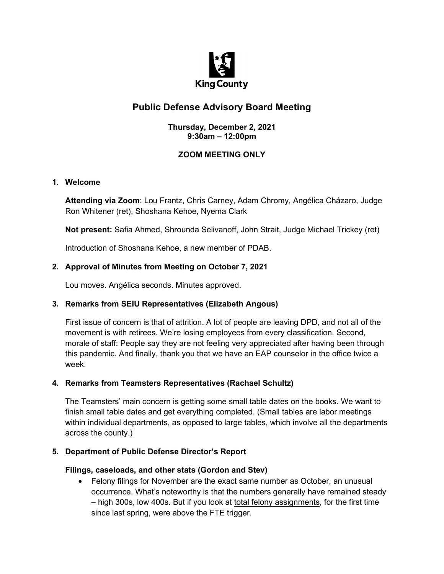

# **Public Defense Advisory Board Meeting**

#### **Thursday, December 2, 2021 9:30am – 12:00pm**

# **ZOOM MEETING ONLY**

## **1. Welcome**

**Attending via Zoom**: Lou Frantz, Chris Carney, Adam Chromy, Angélica Cházaro, Judge Ron Whitener (ret), Shoshana Kehoe, Nyema Clark

**Not present:** Safia Ahmed, Shrounda Selivanoff, John Strait, Judge Michael Trickey (ret)

Introduction of Shoshana Kehoe, a new member of PDAB.

## **2. Approval of Minutes from Meeting on October 7, 2021**

Lou moves. Angélica seconds. Minutes approved.

# **3. Remarks from SEIU Representatives (Elizabeth Angous)**

First issue of concern is that of attrition. A lot of people are leaving DPD, and not all of the movement is with retirees. We're losing employees from every classification. Second, morale of staff: People say they are not feeling very appreciated after having been through this pandemic. And finally, thank you that we have an EAP counselor in the office twice a week.

#### **4. Remarks from Teamsters Representatives (Rachael Schultz)**

The Teamsters' main concern is getting some small table dates on the books. We want to finish small table dates and get everything completed. (Small tables are labor meetings within individual departments, as opposed to large tables, which involve all the departments across the county.)

#### **5. Department of Public Defense Director's Report**

#### **Filings, caseloads, and other stats (Gordon and Stev)**

• Felony filings for November are the exact same number as October, an unusual occurrence. What's noteworthy is that the numbers generally have remained steady – high 300s, low 400s. But if you look at total felony assignments, for the first time since last spring, were above the FTE trigger.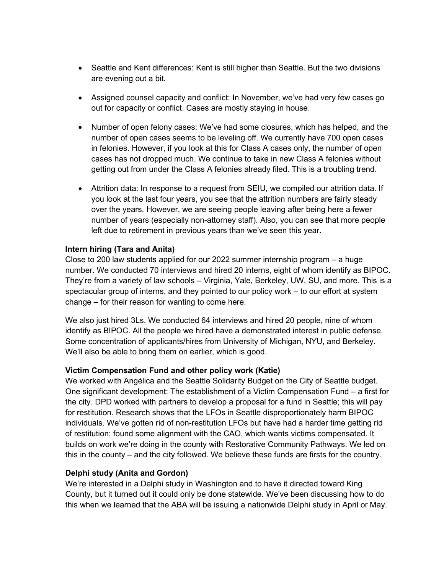- Seattle and Kent differences: Kent is still higher than Seattle. But the two divisions are evening out a bit.
- Assigned counsel capacity and conflict: In November, we've had very few cases go out for capacity or conflict. Cases are mostly staying in house.
- Number of open felony cases: We've had some closures, which has helped, and the number of open cases seems to be leveling off. We currently have 700 open cases in felonies. However, if you look at this for Class A cases only, the number of open cases has not dropped much. We continue to take in new Class A felonies without getting out from under the Class A felonies already filed. This is a troubling trend.
- Attrition data: In response to a request from SEIU, we compiled our attrition data. If you look at the last four years, you see that the attrition numbers are fairly steady over the years. However, we are seeing people leaving after being here a fewer number of years (especially non-attorney staff). Also, you can see that more people left due to retirement in previous years than we've seen this year.

#### **Intern hiring (Tara and Anita)**

Close to 200 law students applied for our 2022 summer internship program – a huge number. We conducted 70 interviews and hired 20 interns, eight of whom identify as BIPOC. They're from a variety of law schools – Virginia, Yale, Berkeley, UW, SU, and more. This is a spectacular group of interns, and they pointed to our policy work – to our effort at system change – for their reason for wanting to come here.

We also just hired 3Ls. We conducted 64 interviews and hired 20 people, nine of whom identify as BIPOC. All the people we hired have a demonstrated interest in public defense. Some concentration of applicants/hires from University of Michigan, NYU, and Berkeley. We'll also be able to bring them on earlier, which is good.

#### **Victim Compensation Fund and other policy work (Katie)**

We worked with Angélica and the Seattle Solidarity Budget on the City of Seattle budget. One significant development: The establishment of a Victim Compensation Fund – a first for the city. DPD worked with partners to develop a proposal for a fund in Seattle; this will pay for restitution. Research shows that the LFOs in Seattle disproportionately harm BIPOC individuals. We've gotten rid of non-restitution LFOs but have had a harder time getting rid of restitution; found some alignment with the CAO, which wants victims compensated. It builds on work we're doing in the county with Restorative Community Pathways. We led on this in the county – and the city followed. We believe these funds are firsts for the country.

#### **Delphi study (Anita and Gordon)**

We're interested in a Delphi study in Washington and to have it directed toward King County, but it turned out it could only be done statewide. We've been discussing how to do this when we learned that the ABA will be issuing a nationwide Delphi study in April or May.